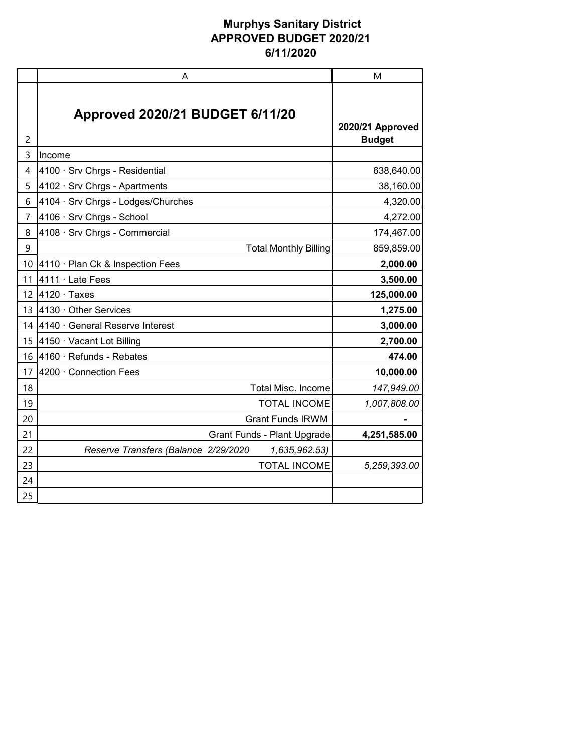|                | Α                                                     | M                                 |
|----------------|-------------------------------------------------------|-----------------------------------|
| 2              | Approved 2020/21 BUDGET 6/11/20                       | 2020/21 Approved<br><b>Budget</b> |
| 3              | Income                                                |                                   |
| 4              | 4100 · Srv Chrgs - Residential                        | 638,640.00                        |
| 5              | 4102 · Srv Chrgs - Apartments                         | 38,160.00                         |
| 6              | 4104 · Srv Chrgs - Lodges/Churches                    | 4,320.00                          |
| $\overline{7}$ | 4106 · Srv Chrgs - School                             | 4,272.00                          |
| 8              | 4108 · Srv Chrgs - Commercial                         | 174,467.00                        |
| 9              | <b>Total Monthly Billing</b>                          | 859,859.00                        |
| 10             | 4110 · Plan Ck & Inspection Fees                      | 2,000.00                          |
| 11             | 4111 · Late Fees                                      | 3,500.00                          |
| 12             | $4120 \cdot$ Taxes                                    | 125,000.00                        |
| 13             | 4130 · Other Services                                 | 1,275.00                          |
| 14             | 4140 · General Reserve Interest                       | 3,000.00                          |
| 15             | 4150 · Vacant Lot Billing                             | 2,700.00                          |
| 16             | 4160 · Refunds - Rebates                              | 474.00                            |
| 17             | 4200 · Connection Fees                                | 10,000.00                         |
| 18             | Total Misc. Income                                    | 147,949.00                        |
| 19             | <b>TOTAL INCOME</b>                                   | 1,007,808.00                      |
| 20             | <b>Grant Funds IRWM</b>                               |                                   |
| 21             | <b>Grant Funds - Plant Upgrade</b>                    | 4,251,585.00                      |
| 22             | Reserve Transfers (Balance 2/29/2020<br>1,635,962.53) |                                   |
| 23             | <b>TOTAL INCOME</b>                                   | 5,259,393.00                      |
| 24             |                                                       |                                   |
| 25             |                                                       |                                   |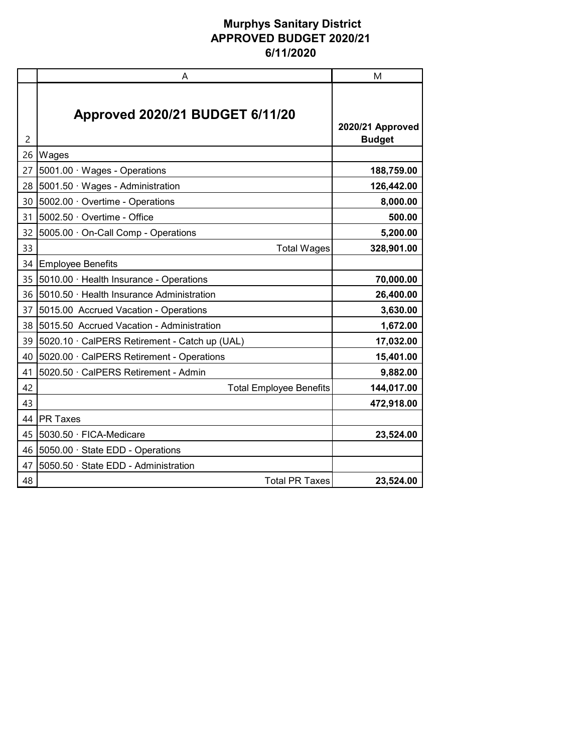|                | A                                             | M                                 |
|----------------|-----------------------------------------------|-----------------------------------|
| $\overline{c}$ | <b>Approved 2020/21 BUDGET 6/11/20</b>        | 2020/21 Approved<br><b>Budget</b> |
| 26             | Wages                                         |                                   |
| 27             | 5001.00 · Wages - Operations                  | 188,759.00                        |
| 28             | 5001.50 · Wages - Administration              | 126,442.00                        |
| 30             | 5002.00 Overtime - Operations                 | 8,000.00                          |
| 31             | 5002.50 · Overtime - Office                   | 500.00                            |
| 32             | 5005.00 · On-Call Comp - Operations           | 5,200.00                          |
| 33             | <b>Total Wages</b>                            | 328,901.00                        |
| 34             | <b>Employee Benefits</b>                      |                                   |
| 35             | 5010.00 · Health Insurance - Operations       | 70,000.00                         |
| 36             | 5010.50 · Health Insurance Administration     | 26,400.00                         |
| 37             | 5015.00 Accrued Vacation - Operations         | 3,630.00                          |
| 38             | 5015.50 Accrued Vacation - Administration     | 1,672.00                          |
| 39             | 5020.10 · CalPERS Retirement - Catch up (UAL) | 17,032.00                         |
| 40             | 5020.00 · CalPERS Retirement - Operations     | 15,401.00                         |
| 41             | 5020.50 · CalPERS Retirement - Admin          | 9,882.00                          |
| 42             | <b>Total Employee Benefits</b>                | 144,017.00                        |
| 43             |                                               | 472,918.00                        |
| 44             | <b>PR Taxes</b>                               |                                   |
| 45             | 5030.50 · FICA-Medicare                       | 23,524.00                         |
| 46             | 5050.00 · State EDD - Operations              |                                   |
| 47             | 5050.50 · State EDD - Administration          |                                   |
| 48             | <b>Total PR Taxes</b>                         | 23,524.00                         |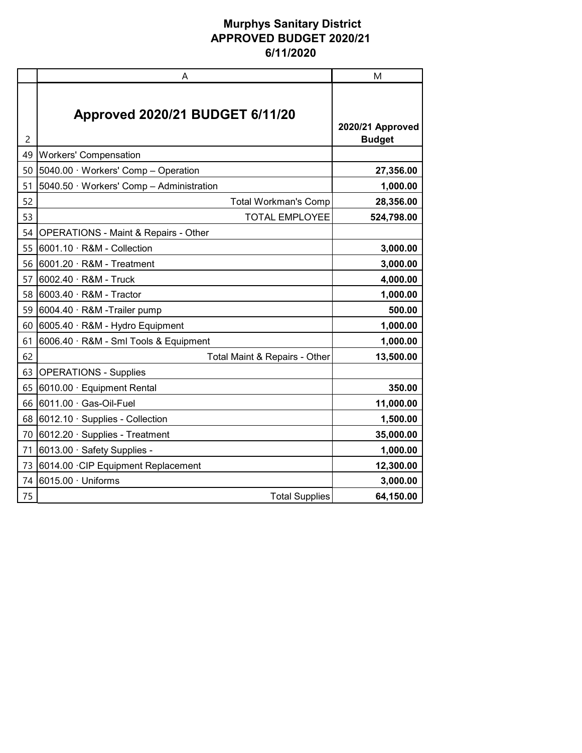|    | Α                                               | M                                 |
|----|-------------------------------------------------|-----------------------------------|
| 2  | <b>Approved 2020/21 BUDGET 6/11/20</b>          | 2020/21 Approved<br><b>Budget</b> |
| 49 | <b>Workers' Compensation</b>                    |                                   |
| 50 | 5040.00 · Workers' Comp - Operation             | 27,356.00                         |
| 51 | 5040.50 · Workers' Comp - Administration        | 1,000.00                          |
| 52 | <b>Total Workman's Comp</b>                     | 28,356.00                         |
| 53 | <b>TOTAL EMPLOYEE</b>                           | 524,798.00                        |
| 54 | <b>OPERATIONS - Maint &amp; Repairs - Other</b> |                                   |
| 55 | 6001.10 · R&M - Collection                      | 3,000.00                          |
| 56 | 6001.20 · R&M - Treatment                       | 3,000.00                          |
| 57 | 6002.40 · R&M - Truck                           | 4,000.00                          |
| 58 | $6003.40 \cdot R$ &M - Tractor                  | 1,000.00                          |
| 59 | 6004.40 · R&M -Trailer pump                     | 500.00                            |
| 60 | 6005.40 · R&M - Hydro Equipment                 | 1,000.00                          |
| 61 | 6006.40 · R&M - Sml Tools & Equipment           | 1,000.00                          |
| 62 | Total Maint & Repairs - Other                   | 13,500.00                         |
| 63 | <b>OPERATIONS - Supplies</b>                    |                                   |
| 65 | 6010.00 · Equipment Rental                      | 350.00                            |
| 66 | 6011.00 · Gas-Oil-Fuel                          | 11,000.00                         |
| 68 | 6012.10 · Supplies - Collection                 | 1,500.00                          |
| 70 | 6012.20 · Supplies - Treatment                  | 35,000.00                         |
| 71 | 6013.00 · Safety Supplies -                     | 1,000.00                          |
| 73 | 6014.00 CIP Equipment Replacement               | 12,300.00                         |
| 74 | 6015.00 · Uniforms                              | 3,000.00                          |
| 75 | <b>Total Supplies</b>                           | 64,150.00                         |
|    |                                                 |                                   |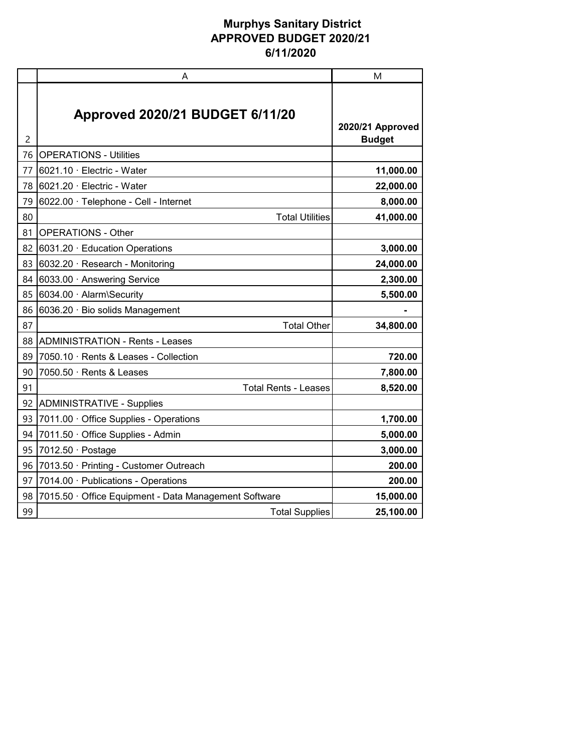|    | A                                                   | M                                 |
|----|-----------------------------------------------------|-----------------------------------|
| 2  | <b>Approved 2020/21 BUDGET 6/11/20</b>              | 2020/21 Approved<br><b>Budget</b> |
| 76 | <b>OPERATIONS - Utilities</b>                       |                                   |
| 77 | 6021.10 · Electric - Water                          | 11,000.00                         |
| 78 | 6021.20 · Electric - Water                          | 22,000.00                         |
| 79 | 6022.00 · Telephone - Cell - Internet               | 8,000.00                          |
| 80 | <b>Total Utilities</b>                              | 41,000.00                         |
| 81 | <b>OPERATIONS - Other</b>                           |                                   |
| 82 | 6031.20 · Education Operations                      | 3,000.00                          |
| 83 | 6032.20 · Research - Monitoring                     | 24,000.00                         |
| 84 | 6033.00 · Answering Service                         | 2,300.00                          |
| 85 | 6034.00 · Alarm\Security                            | 5,500.00                          |
| 86 | 6036.20 · Bio solids Management                     |                                   |
| 87 | <b>Total Other</b>                                  | 34,800.00                         |
| 88 | <b>ADMINISTRATION - Rents - Leases</b>              |                                   |
| 89 | 7050.10 · Rents & Leases - Collection               | 720.00                            |
| 90 | 7050.50 · Rents & Leases                            | 7,800.00                          |
| 91 | <b>Total Rents - Leases</b>                         | 8,520.00                          |
| 92 | <b>ADMINISTRATIVE - Supplies</b>                    |                                   |
| 93 | 7011.00 Office Supplies - Operations                | 1,700.00                          |
| 94 | 7011.50 · Office Supplies - Admin                   | 5,000.00                          |
| 95 | 7012.50 $\cdot$ Postage                             | 3,000.00                          |
| 96 | 7013.50 · Printing - Customer Outreach              | 200.00                            |
| 97 | 7014.00 · Publications - Operations                 | 200.00                            |
| 98 | 7015.50 Office Equipment - Data Management Software | 15,000.00                         |
| 99 | <b>Total Supplies</b>                               | 25,100.00                         |
|    |                                                     |                                   |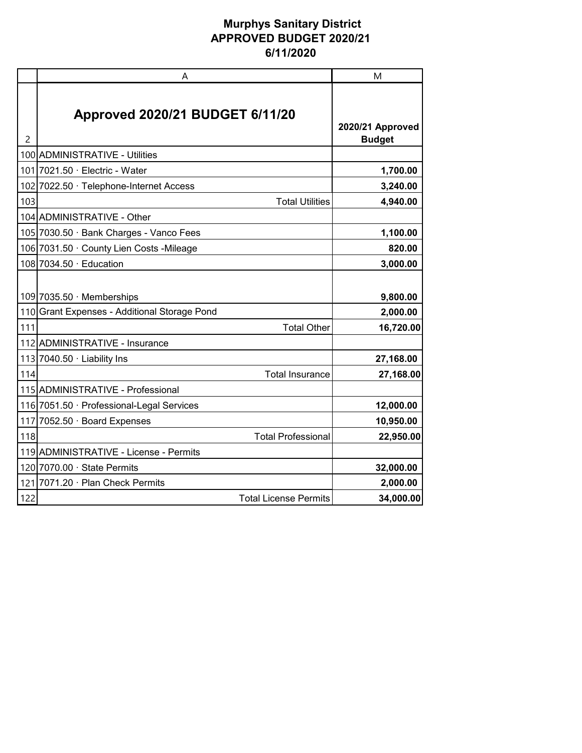|     | A                                                    | M                                 |
|-----|------------------------------------------------------|-----------------------------------|
| 2   | <b>Approved 2020/21 BUDGET 6/11/20</b>               | 2020/21 Approved<br><b>Budget</b> |
|     | 100 ADMINISTRATIVE - Utilities                       |                                   |
|     | 101 7021.50 · Electric - Water                       | 1,700.00                          |
| 102 | 7022.50 · Telephone-Internet Access                  | 3,240.00                          |
| 103 | <b>Total Utilities</b>                               | 4,940.00                          |
|     | 104 ADMINISTRATIVE - Other                           |                                   |
|     | 105 7030.50 · Bank Charges - Vanco Fees              | 1,100.00                          |
|     | 106 7031.50 · County Lien Costs - Mileage            | 820.00                            |
|     | 108 7034.50 · Education                              | 3,000.00                          |
|     | 109 7035.50 · Memberships                            | 9,800.00                          |
|     | 110 Grant Expenses - Additional Storage Pond         | 2,000.00                          |
| 111 | <b>Total Other</b><br>112 ADMINISTRATIVE - Insurance | 16,720.00                         |
| 113 | 7040.50 · Liability Ins                              | 27,168.00                         |
| 114 | <b>Total Insurance</b>                               | 27,168.00                         |
|     | 115 ADMINISTRATIVE - Professional                    |                                   |
|     | 116 7051.50 · Professional-Legal Services            | 12,000.00                         |
| 117 | 7052.50 · Board Expenses                             | 10,950.00                         |
| 118 | <b>Total Professional</b>                            | 22,950.00                         |
|     | 119 ADMINISTRATIVE - License - Permits               |                                   |
|     | 120 7070.00 · State Permits                          | 32,000.00                         |
|     | 121 7071.20 · Plan Check Permits                     | 2,000.00                          |
| 122 | <b>Total License Permits</b>                         | 34,000.00                         |